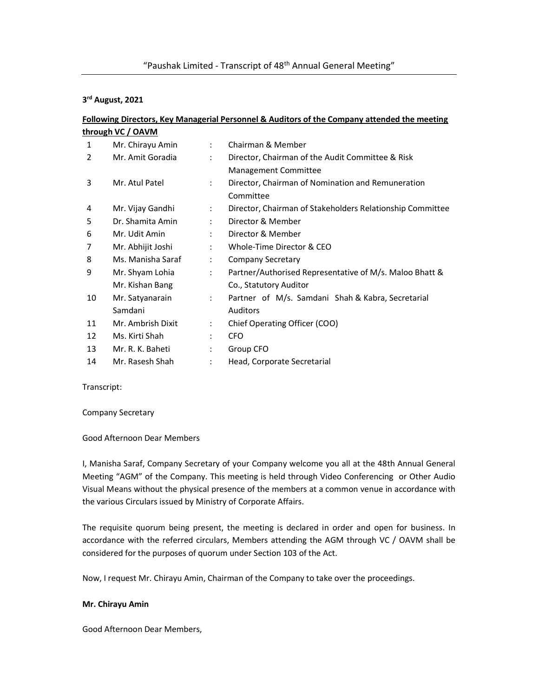# 3<sup>rd</sup> August, 2021

# Following Directors, Key Managerial Personnel & Auditors of the Company attended the meeting through VC / OAVM

| 1  | Mr. Chirayu Amin  | $\ddot{\phantom{a}}$ | Chairman & Member                                         |
|----|-------------------|----------------------|-----------------------------------------------------------|
| 2  | Mr. Amit Goradia  | ÷                    | Director, Chairman of the Audit Committee & Risk          |
|    |                   |                      | Management Committee                                      |
| 3  | Mr. Atul Patel    | $\ddot{\phantom{a}}$ | Director, Chairman of Nomination and Remuneration         |
|    |                   |                      | Committee                                                 |
| 4  | Mr. Vijay Gandhi  | ÷                    | Director, Chairman of Stakeholders Relationship Committee |
| 5  | Dr. Shamita Amin  | ÷                    | Director & Member                                         |
| 6  | Mr. Udit Amin     | ÷                    | Director & Member                                         |
| 7  | Mr. Abhijit Joshi | ÷                    | Whole-Time Director & CEO                                 |
| 8  | Ms. Manisha Saraf | ÷                    | <b>Company Secretary</b>                                  |
| 9  | Mr. Shyam Lohia   | $\ddot{\phantom{a}}$ | Partner/Authorised Representative of M/s. Maloo Bhatt &   |
|    | Mr. Kishan Bang   |                      | Co., Statutory Auditor                                    |
| 10 | Mr. Satyanarain   | $\mathcal{L}$        | Partner of M/s. Samdani Shah & Kabra, Secretarial         |
|    | Samdani           |                      | <b>Auditors</b>                                           |
| 11 | Mr. Ambrish Dixit | $\ddot{\phantom{a}}$ | Chief Operating Officer (COO)                             |
| 12 | Ms. Kirti Shah    | $\ddot{\cdot}$       | <b>CFO</b>                                                |
| 13 | Mr. R. K. Baheti  | $\ddot{\cdot}$       | Group CFO                                                 |
| 14 | Mr. Rasesh Shah   | $\ddot{\cdot}$       | Head, Corporate Secretarial                               |
|    |                   |                      |                                                           |

Transcript:

Company Secretary

Good Afternoon Dear Members

I, Manisha Saraf, Company Secretary of your Company welcome you all at the 48th Annual General Meeting "AGM" of the Company. This meeting is held through Video Conferencing or Other Audio Visual Means without the physical presence of the members at a common venue in accordance with the various Circulars issued by Ministry of Corporate Affairs.

The requisite quorum being present, the meeting is declared in order and open for business. In accordance with the referred circulars, Members attending the AGM through VC / OAVM shall be considered for the purposes of quorum under Section 103 of the Act.

Now, I request Mr. Chirayu Amin, Chairman of the Company to take over the proceedings.

# Mr. Chirayu Amin

Good Afternoon Dear Members,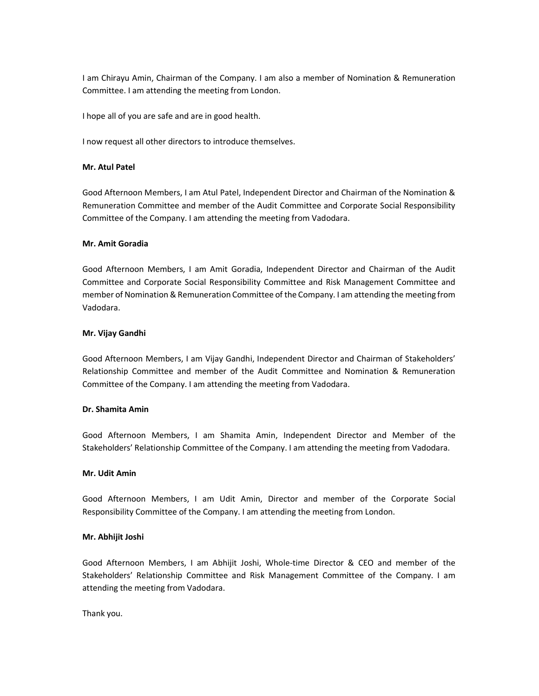I am Chirayu Amin, Chairman of the Company. I am also a member of Nomination & Remuneration Committee. I am attending the meeting from London.

I hope all of you are safe and are in good health.

I now request all other directors to introduce themselves.

# Mr. Atul Patel

Good Afternoon Members, I am Atul Patel, Independent Director and Chairman of the Nomination & Remuneration Committee and member of the Audit Committee and Corporate Social Responsibility Committee of the Company. I am attending the meeting from Vadodara.

# Mr. Amit Goradia

Good Afternoon Members, I am Amit Goradia, Independent Director and Chairman of the Audit Committee and Corporate Social Responsibility Committee and Risk Management Committee and member of Nomination & Remuneration Committee of the Company. I am attending the meeting from Vadodara.

# Mr. Vijay Gandhi

Good Afternoon Members, I am Vijay Gandhi, Independent Director and Chairman of Stakeholders' Relationship Committee and member of the Audit Committee and Nomination & Remuneration Committee of the Company. I am attending the meeting from Vadodara.

#### Dr. Shamita Amin

Good Afternoon Members, I am Shamita Amin, Independent Director and Member of the Stakeholders' Relationship Committee of the Company. I am attending the meeting from Vadodara.

#### Mr. Udit Amin

Good Afternoon Members, I am Udit Amin, Director and member of the Corporate Social Responsibility Committee of the Company. I am attending the meeting from London.

#### Mr. Abhijit Joshi

Good Afternoon Members, I am Abhijit Joshi, Whole-time Director & CEO and member of the Stakeholders' Relationship Committee and Risk Management Committee of the Company. I am attending the meeting from Vadodara.

Thank you.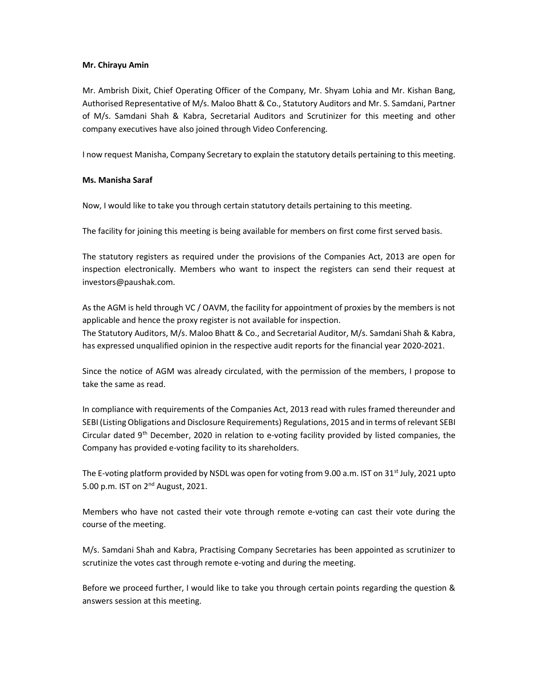# Mr. Chirayu Amin

Mr. Ambrish Dixit, Chief Operating Officer of the Company, Mr. Shyam Lohia and Mr. Kishan Bang, Authorised Representative of M/s. Maloo Bhatt & Co., Statutory Auditors and Mr. S. Samdani, Partner of M/s. Samdani Shah & Kabra, Secretarial Auditors and Scrutinizer for this meeting and other company executives have also joined through Video Conferencing.

I now request Manisha, Company Secretary to explain the statutory details pertaining to this meeting.

# Ms. Manisha Saraf

Now, I would like to take you through certain statutory details pertaining to this meeting.

The facility for joining this meeting is being available for members on first come first served basis.

The statutory registers as required under the provisions of the Companies Act, 2013 are open for inspection electronically. Members who want to inspect the registers can send their request at investors@paushak.com.

As the AGM is held through VC / OAVM, the facility for appointment of proxies by the members is not applicable and hence the proxy register is not available for inspection. The Statutory Auditors, M/s. Maloo Bhatt & Co., and Secretarial Auditor, M/s. Samdani Shah & Kabra, has expressed unqualified opinion in the respective audit reports for the financial year 2020-2021.

Since the notice of AGM was already circulated, with the permission of the members, I propose to take the same as read.

In compliance with requirements of the Companies Act, 2013 read with rules framed thereunder and SEBI (Listing Obligations and Disclosure Requirements) Regulations, 2015 and in terms of relevant SEBI Circular dated  $9<sup>th</sup>$  December, 2020 in relation to e-voting facility provided by listed companies, the Company has provided e-voting facility to its shareholders.

The E-voting platform provided by NSDL was open for voting from 9.00 a.m. IST on 31<sup>st</sup> July, 2021 upto 5.00 p.m. IST on 2nd August, 2021.

Members who have not casted their vote through remote e-voting can cast their vote during the course of the meeting.

M/s. Samdani Shah and Kabra, Practising Company Secretaries has been appointed as scrutinizer to scrutinize the votes cast through remote e-voting and during the meeting.

Before we proceed further, I would like to take you through certain points regarding the question & answers session at this meeting.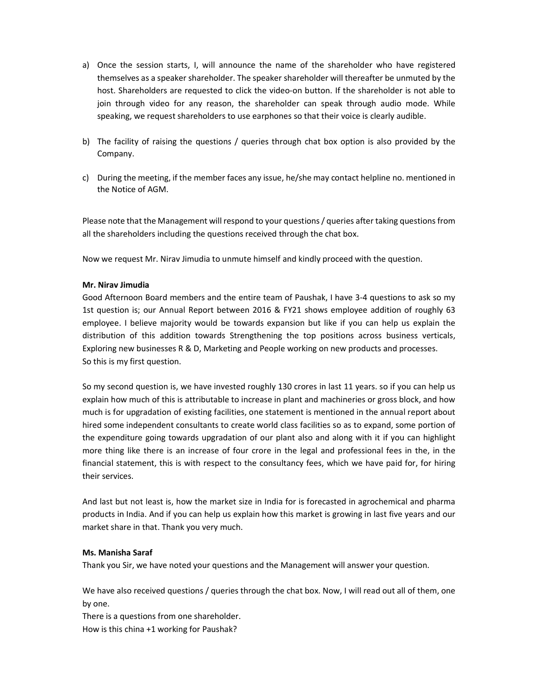- a) Once the session starts, I, will announce the name of the shareholder who have registered themselves as a speaker shareholder. The speaker shareholder will thereafter be unmuted by the host. Shareholders are requested to click the video-on button. If the shareholder is not able to join through video for any reason, the shareholder can speak through audio mode. While speaking, we request shareholders to use earphones so that their voice is clearly audible.
- b) The facility of raising the questions / queries through chat box option is also provided by the Company.
- c) During the meeting, if the member faces any issue, he/she may contact helpline no. mentioned in the Notice of AGM.

Please note that the Management will respond to your questions / queries after taking questions from all the shareholders including the questions received through the chat box.

Now we request Mr. Nirav Jimudia to unmute himself and kindly proceed with the question.

# Mr. Nirav Jimudia

Good Afternoon Board members and the entire team of Paushak, I have 3-4 questions to ask so my 1st question is; our Annual Report between 2016 & FY21 shows employee addition of roughly 63 employee. I believe majority would be towards expansion but like if you can help us explain the distribution of this addition towards Strengthening the top positions across business verticals, Exploring new businesses R & D, Marketing and People working on new products and processes. So this is my first question.

So my second question is, we have invested roughly 130 crores in last 11 years. so if you can help us explain how much of this is attributable to increase in plant and machineries or gross block, and how much is for upgradation of existing facilities, one statement is mentioned in the annual report about hired some independent consultants to create world class facilities so as to expand, some portion of the expenditure going towards upgradation of our plant also and along with it if you can highlight more thing like there is an increase of four crore in the legal and professional fees in the, in the financial statement, this is with respect to the consultancy fees, which we have paid for, for hiring their services.

And last but not least is, how the market size in India for is forecasted in agrochemical and pharma products in India. And if you can help us explain how this market is growing in last five years and our market share in that. Thank you very much.

#### Ms. Manisha Saraf

Thank you Sir, we have noted your questions and the Management will answer your question.

We have also received questions / queries through the chat box. Now, I will read out all of them, one by one.

There is a questions from one shareholder. How is this china +1 working for Paushak?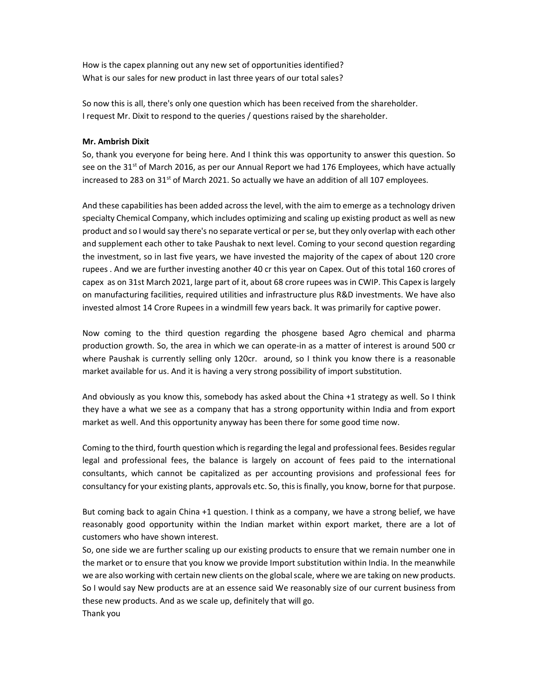How is the capex planning out any new set of opportunities identified? What is our sales for new product in last three years of our total sales?

So now this is all, there's only one question which has been received from the shareholder. I request Mr. Dixit to respond to the queries / questions raised by the shareholder.

# Mr. Ambrish Dixit

So, thank you everyone for being here. And I think this was opportunity to answer this question. So see on the 31<sup>st</sup> of March 2016, as per our Annual Report we had 176 Employees, which have actually increased to 283 on 31<sup>st</sup> of March 2021. So actually we have an addition of all 107 employees.

And these capabilities has been added across the level, with the aim to emerge as a technology driven specialty Chemical Company, which includes optimizing and scaling up existing product as well as new product and so I would say there's no separate vertical or per se, but they only overlap with each other and supplement each other to take Paushak to next level. Coming to your second question regarding the investment, so in last five years, we have invested the majority of the capex of about 120 crore rupees . And we are further investing another 40 cr this year on Capex. Out of this total 160 crores of capex as on 31st March 2021, large part of it, about 68 crore rupees was in CWIP. This Capex is largely on manufacturing facilities, required utilities and infrastructure plus R&D investments. We have also invested almost 14 Crore Rupees in a windmill few years back. It was primarily for captive power.

Now coming to the third question regarding the phosgene based Agro chemical and pharma production growth. So, the area in which we can operate-in as a matter of interest is around 500 cr where Paushak is currently selling only 120cr. around, so I think you know there is a reasonable market available for us. And it is having a very strong possibility of import substitution.

And obviously as you know this, somebody has asked about the China +1 strategy as well. So I think they have a what we see as a company that has a strong opportunity within India and from export market as well. And this opportunity anyway has been there for some good time now.

Coming to the third, fourth question which is regarding the legal and professional fees. Besides regular legal and professional fees, the balance is largely on account of fees paid to the international consultants, which cannot be capitalized as per accounting provisions and professional fees for consultancy for your existing plants, approvals etc. So, this is finally, you know, borne for that purpose.

But coming back to again China +1 question. I think as a company, we have a strong belief, we have reasonably good opportunity within the Indian market within export market, there are a lot of customers who have shown interest.

So, one side we are further scaling up our existing products to ensure that we remain number one in the market or to ensure that you know we provide Import substitution within India. In the meanwhile we are also working with certain new clients on the global scale, where we are taking on new products. So I would say New products are at an essence said We reasonably size of our current business from these new products. And as we scale up, definitely that will go.

Thank you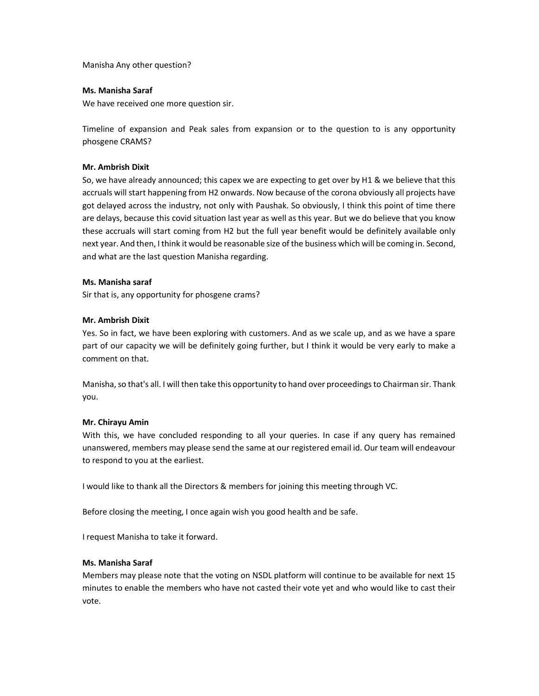Manisha Any other question?

# Ms. Manisha Saraf

We have received one more question sir.

Timeline of expansion and Peak sales from expansion or to the question to is any opportunity phosgene CRAMS?

# Mr. Ambrish Dixit

So, we have already announced; this capex we are expecting to get over by H1 & we believe that this accruals will start happening from H2 onwards. Now because of the corona obviously all projects have got delayed across the industry, not only with Paushak. So obviously, I think this point of time there are delays, because this covid situation last year as well as this year. But we do believe that you know these accruals will start coming from H2 but the full year benefit would be definitely available only next year. And then, I think it would be reasonable size of the business which will be coming in. Second, and what are the last question Manisha regarding.

# Ms. Manisha saraf

Sir that is, any opportunity for phosgene crams?

# Mr. Ambrish Dixit

Yes. So in fact, we have been exploring with customers. And as we scale up, and as we have a spare part of our capacity we will be definitely going further, but I think it would be very early to make a comment on that.

Manisha, so that's all. I will then take this opportunity to hand over proceedings to Chairman sir. Thank you.

# Mr. Chirayu Amin

With this, we have concluded responding to all your queries. In case if any query has remained unanswered, members may please send the same at our registered email id. Our team will endeavour to respond to you at the earliest.

I would like to thank all the Directors & members for joining this meeting through VC.

Before closing the meeting, I once again wish you good health and be safe.

I request Manisha to take it forward.

# Ms. Manisha Saraf

Members may please note that the voting on NSDL platform will continue to be available for next 15 minutes to enable the members who have not casted their vote yet and who would like to cast their vote.